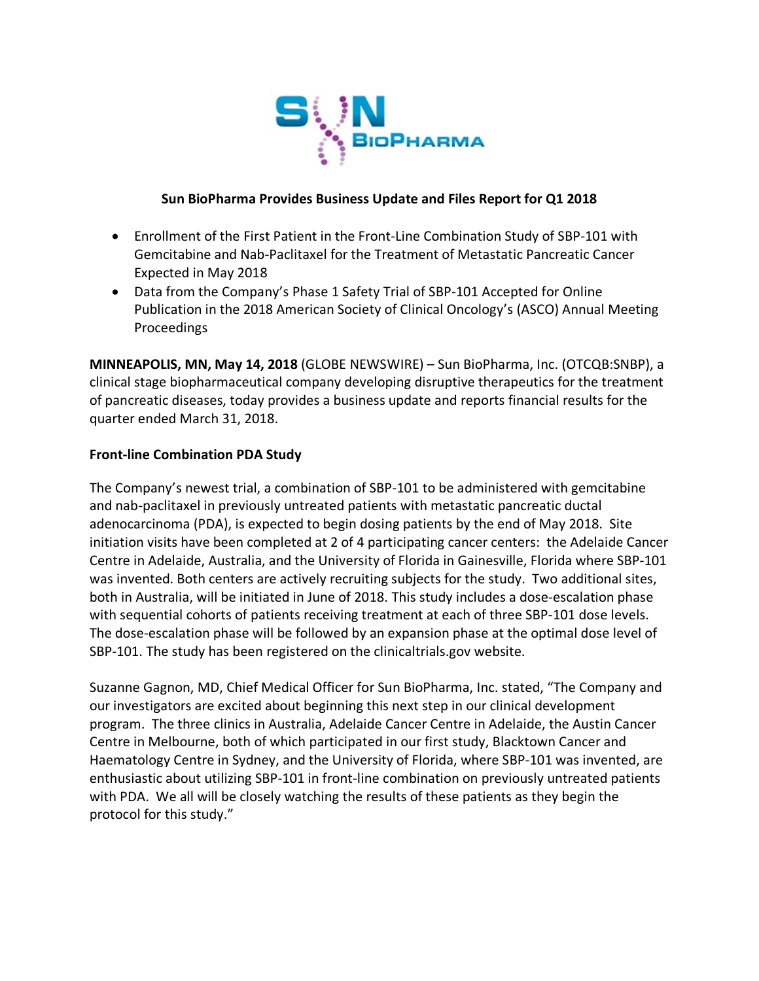

## **Sun BioPharma Provides Business Update and Files Report for Q1 2018**

- Enrollment of the First Patient in the Front-Line Combination Study of SBP-101 with Gemcitabine and Nab-Paclitaxel for the Treatment of Metastatic Pancreatic Cancer Expected in May 2018
- Data from the Company's Phase 1 Safety Trial of SBP-101 Accepted for Online Publication in the 2018 American Society of Clinical Oncology's (ASCO) Annual Meeting Proceedings

**MINNEAPOLIS, MN, May 14, 2018** (GLOBE NEWSWIRE) – Sun BioPharma, Inc. (OTCQB:SNBP), a clinical stage biopharmaceutical company developing disruptive therapeutics for the treatment of pancreatic diseases, today provides a business update and reports financial results for the quarter ended March 31, 2018.

### **Front-line Combination PDA Study**

The Company's newest trial, a combination of SBP-101 to be administered with gemcitabine and nab-paclitaxel in previously untreated patients with metastatic pancreatic ductal adenocarcinoma (PDA), is expected to begin dosing patients by the end of May 2018. Site initiation visits have been completed at 2 of 4 participating cancer centers: the Adelaide Cancer Centre in Adelaide, Australia, and the University of Florida in Gainesville, Florida where SBP-101 was invented. Both centers are actively recruiting subjects for the study. Two additional sites, both in Australia, will be initiated in June of 2018. This study includes a dose-escalation phase with sequential cohorts of patients receiving treatment at each of three SBP-101 dose levels. The dose-escalation phase will be followed by an expansion phase at the optimal dose level of SBP-101. The study has been registered on the clinicaltrials.gov website.

Suzanne Gagnon, MD, Chief Medical Officer for Sun BioPharma, Inc. stated, "The Company and our investigators are excited about beginning this next step in our clinical development program. The three clinics in Australia, Adelaide Cancer Centre in Adelaide, the Austin Cancer Centre in Melbourne, both of which participated in our first study, Blacktown Cancer and Haematology Centre in Sydney, and the University of Florida, where SBP-101 was invented, are enthusiastic about utilizing SBP-101 in front-line combination on previously untreated patients with PDA. We all will be closely watching the results of these patients as they begin the protocol for this study."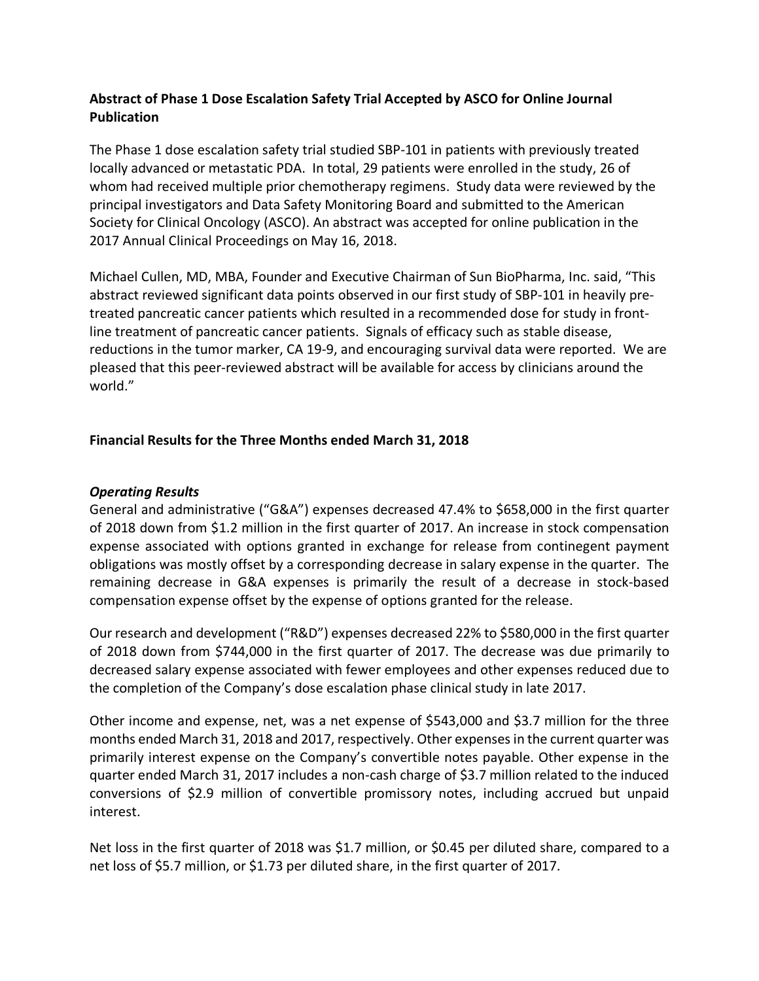## **Abstract of Phase 1 Dose Escalation Safety Trial Accepted by ASCO for Online Journal Publication**

The Phase 1 dose escalation safety trial studied SBP-101 in patients with previously treated locally advanced or metastatic PDA. In total, 29 patients were enrolled in the study, 26 of whom had received multiple prior chemotherapy regimens. Study data were reviewed by the principal investigators and Data Safety Monitoring Board and submitted to the American Society for Clinical Oncology (ASCO). An abstract was accepted for online publication in the 2017 Annual Clinical Proceedings on May 16, 2018.

Michael Cullen, MD, MBA, Founder and Executive Chairman of Sun BioPharma, Inc. said, "This abstract reviewed significant data points observed in our first study of SBP-101 in heavily pretreated pancreatic cancer patients which resulted in a recommended dose for study in frontline treatment of pancreatic cancer patients. Signals of efficacy such as stable disease, reductions in the tumor marker, CA 19-9, and encouraging survival data were reported. We are pleased that this peer-reviewed abstract will be available for access by clinicians around the world."

### **Financial Results for the Three Months ended March 31, 2018**

#### *Operating Results*

General and administrative ("G&A") expenses decreased 47.4% to \$658,000 in the first quarter of 2018 down from \$1.2 million in the first quarter of 2017. An increase in stock compensation expense associated with options granted in exchange for release from continegent payment obligations was mostly offset by a corresponding decrease in salary expense in the quarter. The remaining decrease in G&A expenses is primarily the result of a decrease in stock-based compensation expense offset by the expense of options granted for the release.

Our research and development ("R&D") expenses decreased 22% to \$580,000 in the first quarter of 2018 down from \$744,000 in the first quarter of 2017. The decrease was due primarily to decreased salary expense associated with fewer employees and other expenses reduced due to the completion of the Company's dose escalation phase clinical study in late 2017.

Other income and expense, net, was a net expense of \$543,000 and \$3.7 million for the three months ended March 31, 2018 and 2017, respectively. Other expenses in the current quarter was primarily interest expense on the Company's convertible notes payable. Other expense in the quarter ended March 31, 2017 includes a non-cash charge of \$3.7 million related to the induced conversions of \$2.9 million of convertible promissory notes, including accrued but unpaid interest.

Net loss in the first quarter of 2018 was \$1.7 million, or \$0.45 per diluted share, compared to a net loss of \$5.7 million, or \$1.73 per diluted share, in the first quarter of 2017.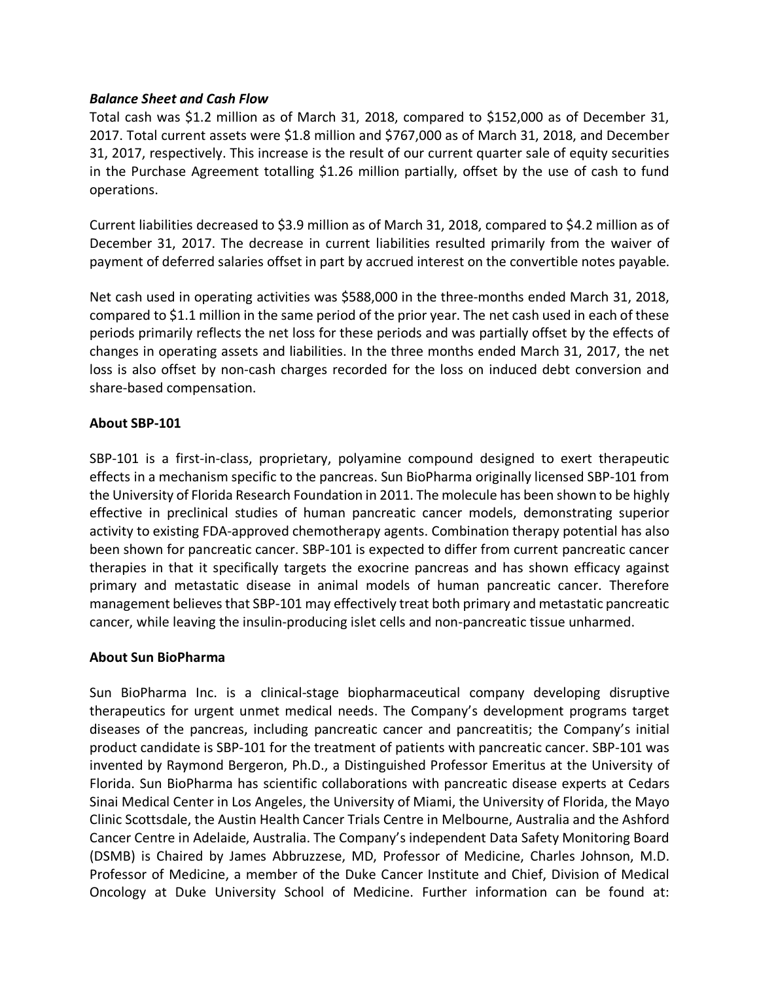#### *Balance Sheet and Cash Flow*

Total cash was \$1.2 million as of March 31, 2018, compared to \$152,000 as of December 31, 2017. Total current assets were \$1.8 million and \$767,000 as of March 31, 2018, and December 31, 2017, respectively. This increase is the result of our current quarter sale of equity securities in the Purchase Agreement totalling \$1.26 million partially, offset by the use of cash to fund operations.

Current liabilities decreased to \$3.9 million as of March 31, 2018, compared to \$4.2 million as of December 31, 2017. The decrease in current liabilities resulted primarily from the waiver of payment of deferred salaries offset in part by accrued interest on the convertible notes payable.

Net cash used in operating activities was \$588,000 in the three-months ended March 31, 2018, compared to \$1.1 million in the same period of the prior year. The net cash used in each of these periods primarily reflects the net loss for these periods and was partially offset by the effects of changes in operating assets and liabilities. In the three months ended March 31, 2017, the net loss is also offset by non-cash charges recorded for the loss on induced debt conversion and share-based compensation.

### **About SBP-101**

SBP-101 is a first-in-class, proprietary, polyamine compound designed to exert therapeutic effects in a mechanism specific to the pancreas. Sun BioPharma originally licensed SBP-101 from the University of Florida Research Foundation in 2011. The molecule has been shown to be highly effective in preclinical studies of human pancreatic cancer models, demonstrating superior activity to existing FDA-approved chemotherapy agents. Combination therapy potential has also been shown for pancreatic cancer. SBP-101 is expected to differ from current pancreatic cancer therapies in that it specifically targets the exocrine pancreas and has shown efficacy against primary and metastatic disease in animal models of human pancreatic cancer. Therefore management believes that SBP-101 may effectively treat both primary and metastatic pancreatic cancer, while leaving the insulin-producing islet cells and non-pancreatic tissue unharmed.

#### **About Sun BioPharma**

Sun BioPharma Inc. is a clinical-stage biopharmaceutical company developing disruptive therapeutics for urgent unmet medical needs. The Company's development programs target diseases of the pancreas, including pancreatic cancer and pancreatitis; the Company's initial product candidate is SBP-101 for the treatment of patients with pancreatic cancer. SBP-101 was invented by Raymond Bergeron, Ph.D., a Distinguished Professor Emeritus at the University of Florida. Sun BioPharma has scientific collaborations with pancreatic disease experts at Cedars Sinai Medical Center in Los Angeles, the University of Miami, the University of Florida, the Mayo Clinic Scottsdale, the Austin Health Cancer Trials Centre in Melbourne, Australia and the Ashford Cancer Centre in Adelaide, Australia. The Company's independent Data Safety Monitoring Board (DSMB) is Chaired by James Abbruzzese, MD, Professor of Medicine, Charles Johnson, M.D. Professor of Medicine, a member of the Duke Cancer Institute and Chief, Division of Medical Oncology at Duke University School of Medicine. Further information can be found at: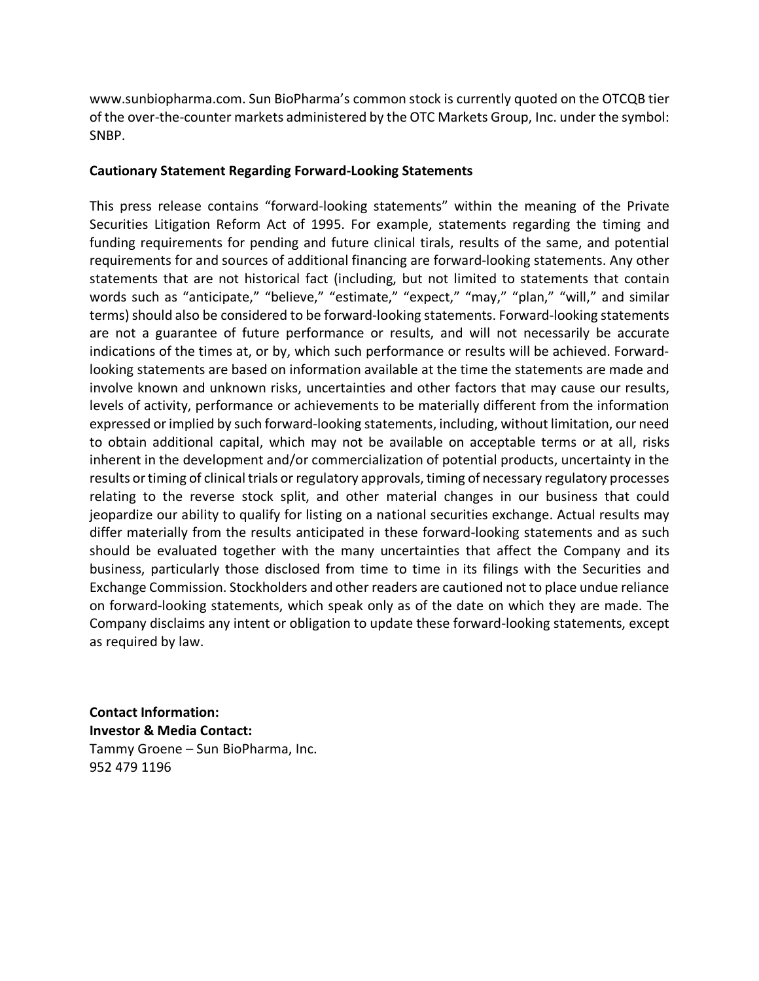www.sunbiopharma.com. Sun BioPharma's common stock is currently quoted on the OTCQB tier of the over-the-counter markets administered by the OTC Markets Group, Inc. under the symbol: SNBP.

#### **Cautionary Statement Regarding Forward-Looking Statements**

This press release contains "forward-looking statements" within the meaning of the Private Securities Litigation Reform Act of 1995. For example, statements regarding the timing and funding requirements for pending and future clinical tirals, results of the same, and potential requirements for and sources of additional financing are forward-looking statements. Any other statements that are not historical fact (including, but not limited to statements that contain words such as "anticipate," "believe," "estimate," "expect," "may," "plan," "will," and similar terms) should also be considered to be forward-looking statements. Forward-looking statements are not a guarantee of future performance or results, and will not necessarily be accurate indications of the times at, or by, which such performance or results will be achieved. Forwardlooking statements are based on information available at the time the statements are made and involve known and unknown risks, uncertainties and other factors that may cause our results, levels of activity, performance or achievements to be materially different from the information expressed or implied by such forward-looking statements, including, without limitation, our need to obtain additional capital, which may not be available on acceptable terms or at all, risks inherent in the development and/or commercialization of potential products, uncertainty in the results or timing of clinical trials or regulatory approvals, timing of necessary regulatory processes relating to the reverse stock split, and other material changes in our business that could jeopardize our ability to qualify for listing on a national securities exchange. Actual results may differ materially from the results anticipated in these forward-looking statements and as such should be evaluated together with the many uncertainties that affect the Company and its business, particularly those disclosed from time to time in its filings with the Securities and Exchange Commission. Stockholders and other readers are cautioned not to place undue reliance on forward-looking statements, which speak only as of the date on which they are made. The Company disclaims any intent or obligation to update these forward-looking statements, except as required by law.

**Contact Information: Investor & Media Contact:** Tammy Groene – Sun BioPharma, Inc. 952 479 1196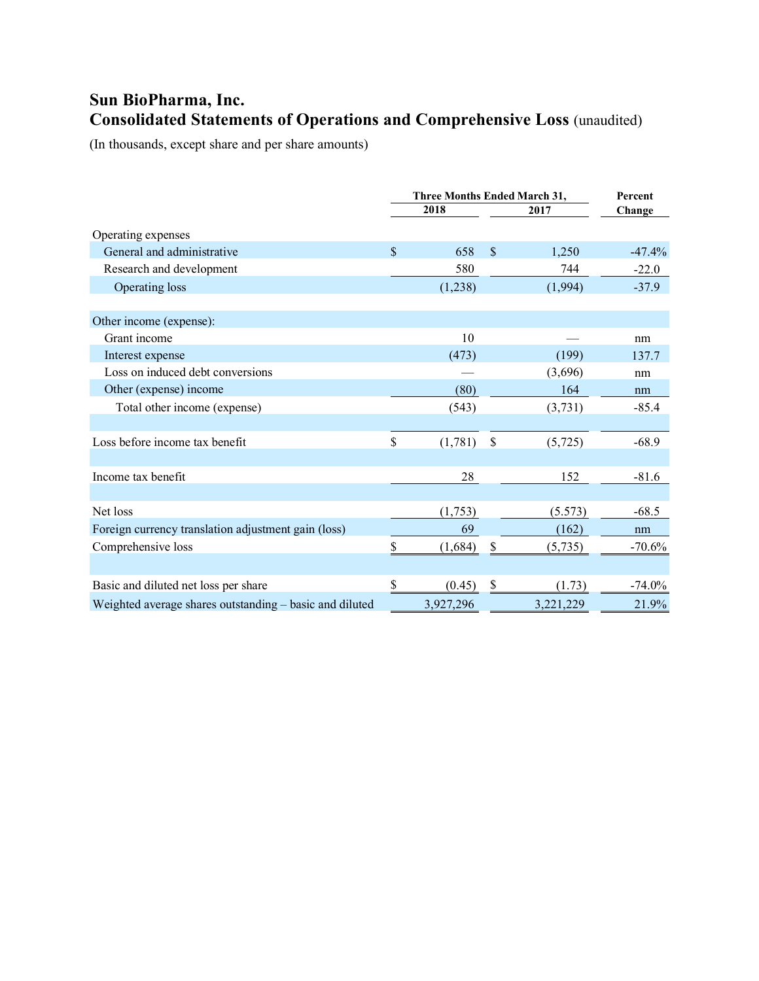## **Sun BioPharma, Inc. Consolidated Statements of Operations and Comprehensive Loss** (unaudited)

(In thousands, except share and per share amounts)

|                                                         |                    | Three Months Ended March 31, | Percent       |           |          |
|---------------------------------------------------------|--------------------|------------------------------|---------------|-----------|----------|
|                                                         |                    | 2018                         |               | 2017      | Change   |
| Operating expenses                                      |                    |                              |               |           |          |
| General and administrative                              | $\mathbf{\hat{S}}$ | 658                          | $\mathcal{S}$ | 1,250     | $-47.4%$ |
| Research and development                                |                    | 580                          |               | 744       | $-22.0$  |
| Operating loss                                          |                    | (1,238)                      |               | (1,994)   | $-37.9$  |
|                                                         |                    |                              |               |           |          |
| Other income (expense):                                 |                    |                              |               |           |          |
| Grant income                                            |                    | 10                           |               |           | nm       |
| Interest expense                                        |                    | (473)                        |               | (199)     | 137.7    |
| Loss on induced debt conversions                        |                    |                              |               | (3,696)   | nm       |
| Other (expense) income                                  |                    | (80)                         |               | 164       | nm       |
| Total other income (expense)                            |                    | (543)                        |               | (3,731)   | $-85.4$  |
|                                                         |                    |                              |               |           |          |
| Loss before income tax benefit                          | \$                 | (1,781)                      | $\mathbb{S}$  | (5, 725)  | $-68.9$  |
|                                                         |                    |                              |               |           |          |
| Income tax benefit                                      |                    | 28                           |               | 152       | $-81.6$  |
|                                                         |                    |                              |               |           |          |
| Net loss                                                |                    | (1,753)                      |               | (5.573)   | $-68.5$  |
| Foreign currency translation adjustment gain (loss)     |                    | 69                           |               | (162)     | nm       |
| Comprehensive loss                                      |                    | (1,684)                      | S             | (5, 735)  | $-70.6%$ |
|                                                         |                    |                              |               |           |          |
| Basic and diluted net loss per share                    | \$                 | (0.45)                       | $\mathbb S$   | (1.73)    | $-74.0%$ |
| Weighted average shares outstanding - basic and diluted |                    | 3,927,296                    |               | 3,221,229 | 21.9%    |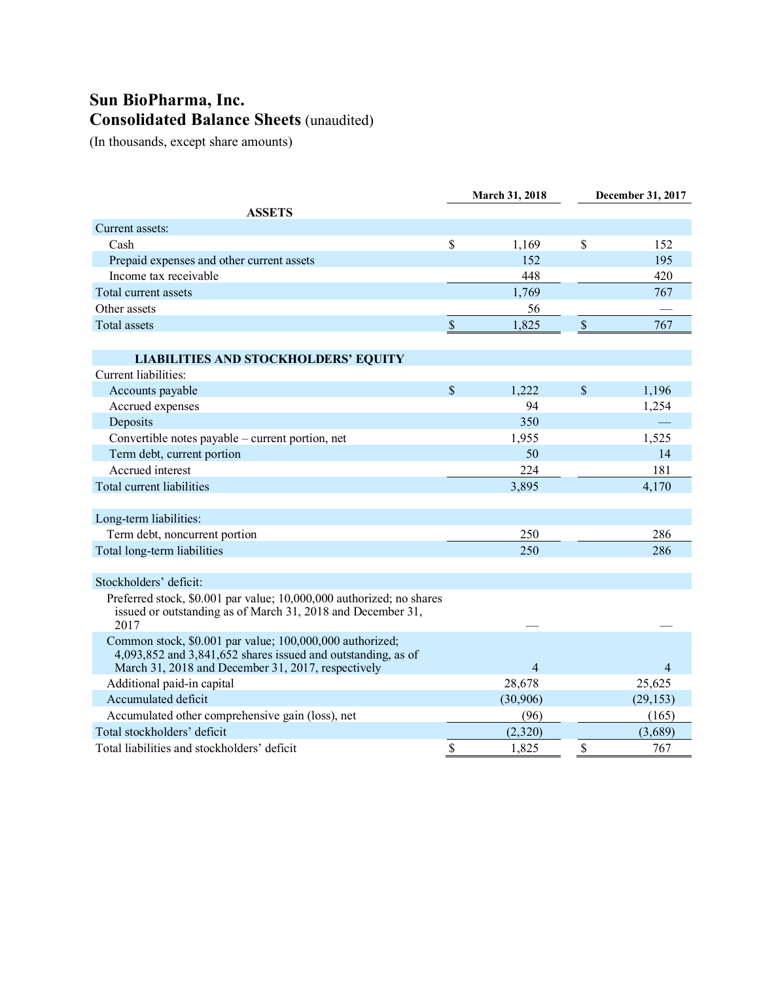# **Sun BioPharma, Inc. Consolidated Balance Sheets** (unaudited)

(In thousands, except share amounts)

|                                                                                  |             | March 31, 2018 | December 31, 2017 |                |  |
|----------------------------------------------------------------------------------|-------------|----------------|-------------------|----------------|--|
| <b>ASSETS</b>                                                                    |             |                |                   |                |  |
| Current assets:                                                                  |             |                |                   |                |  |
| Cash                                                                             | \$          | 1,169          | \$                | 152            |  |
| Prepaid expenses and other current assets                                        |             | 152            |                   | 195            |  |
| Income tax receivable                                                            |             | 448            |                   | 420            |  |
| Total current assets                                                             |             | 1,769          |                   | 767            |  |
| Other assets                                                                     |             | 56             |                   |                |  |
| <b>Total assets</b>                                                              | $\mathbb S$ | 1,825          | $\mathbb{S}$      | 767            |  |
|                                                                                  |             |                |                   |                |  |
| <b>LIABILITIES AND STOCKHOLDERS' EQUITY</b>                                      |             |                |                   |                |  |
| Current liabilities:                                                             |             |                |                   |                |  |
| Accounts payable                                                                 | $\mathbf S$ | 1,222          | \$                | 1,196          |  |
| Accrued expenses                                                                 |             | 94             |                   | 1,254          |  |
| Deposits                                                                         |             | 350            |                   |                |  |
| Convertible notes payable – current portion, net                                 |             | 1,955          |                   | 1,525          |  |
| Term debt, current portion                                                       |             | 50             |                   | 14             |  |
| Accrued interest                                                                 |             | 224            |                   | 181            |  |
| Total current liabilities                                                        |             | 3,895          |                   | 4,170          |  |
|                                                                                  |             |                |                   |                |  |
| Long-term liabilities:                                                           |             |                |                   |                |  |
| Term debt, noncurrent portion                                                    |             | 250            |                   | 286            |  |
| Total long-term liabilities                                                      |             | 250            |                   | 286            |  |
|                                                                                  |             |                |                   |                |  |
| Stockholders' deficit:                                                           |             |                |                   |                |  |
| Preferred stock, \$0.001 par value; 10,000,000 authorized; no shares             |             |                |                   |                |  |
| issued or outstanding as of March 31, 2018 and December 31,                      |             |                |                   |                |  |
| 2017                                                                             |             |                |                   |                |  |
| Common stock, \$0.001 par value; 100,000,000 authorized;                         |             |                |                   |                |  |
| $4,093,852$ and $3,841,652$ shares issued and outstanding, as of                 |             | $\overline{4}$ |                   | $\overline{4}$ |  |
| March 31, 2018 and December 31, 2017, respectively<br>Additional paid-in capital |             | 28,678         |                   | 25,625         |  |
| Accumulated deficit                                                              |             | (30,906)       |                   | (29, 153)      |  |
| Accumulated other comprehensive gain (loss), net                                 |             | (96)           |                   | (165)          |  |
| Total stockholders' deficit                                                      |             | (2,320)        |                   | (3,689)        |  |
|                                                                                  | \$          | 1,825          | \$                |                |  |
| Total liabilities and stockholders' deficit                                      |             |                |                   | 767            |  |